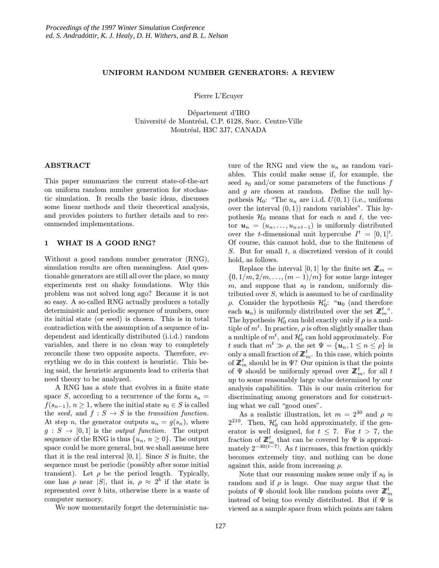#### UNIFORM RANDOM NUMBER GENERATORS: A REVIEW

Pierre L'Ecuyer

Département d'IRO Université de Montréal, C.P. 6128, Succ. Centre-Ville Montréal, H3C 3J7, CANADA

## ABSTRACT

This paper summarizes the current state-of-the-art on uniform random number generation for stochastic simulation. It recalls the basic ideas, discusses some linear methods and their theoretical analysis, and provides pointers to further details and to recommended implementations.

## 1 WHAT IS A GOOD RNG?

Without a good random number generator (RNG), simulation results are often meaningless. And questionable generators are still all over the place, so many experiments rest on shaky foundations. Why this problem was not solved long ago? Because it is not so easy. A so-called RNG actually produces a totally deterministic and periodic sequence of numbers, once its initial state (or seed) is chosen. This is in total contradiction with the assumption of a sequence of independent and identically distributed (i.i.d.) random variables, and there is no clean way to completely reconcile these two opposite aspects. Therefore, everything we do in this context is heuristic. This being said, the heuristic arguments lead to criteria that need theory to be analyzed.

A RNG has a state that evolves in a finite state space S, according to a recurrence of the form  $s_n =$  $f(s_{n-1}), n \geq 1$ , where the initial state  $s_0 \in S$  is called the seed, and  $f : S \to S$  is the transition function. At step n, the generator outputs  $u_n = g(s_n)$ , where  $g: S \to [0, 1]$  is the *output function*. The output sequence of the RNG is thus  $\{u_n, n \geq 0\}$ . The output space could be more general, but we shall assume here that it is the real interval  $[0, 1]$ . Since S is finite, the sequence must be periodic (possibly after some initial transient). Let  $\rho$  be the period length. Typically, one has  $\rho$  near |S|, that is,  $\rho \approx 2^b$  if the state is represented over b bits, otherwise there is a waste of computer memory.

We now momentarily forget the deterministic na-

ture of the RNG and view the  $u_n$  as random variables. This could make sense if, for example, the seed  $s_0$  and/or some parameters of the functions f and  $g$  are chosen at random. Define the null hypothesis  $\mathcal{H}_0$ : "The  $u_n$  are i.i.d.  $U(0, 1)$  (i.e., uniform over the interval  $(0, 1)$  random variables". This hypothesis  $\mathcal{H}_0$  means that for each n and t, the vector  $u_n = (u_n, \ldots, u_{n+t-1})$  is uniformly distributed over the *t*-dimensional unit hypercube  $I^t = [0,1]^t$ . Of course, this cannot hold, due to the finiteness of  $S$ . But for small  $t$ , a discretized version of it could hold, as follows.

Replace the interval [0, 1] by the finite set  $\mathbb{Z}_m =$  $\{0, 1/m, 2/m, \ldots, (m-1)/m\}$  for some large integer m, and suppose that  $s_0$  is random, uniformly distributed over  $S$ , which is assumed to be of cardinality  $ρ$ . Consider the hypothesis  $H'_0$ : " $u_0$  (and therefore each  $u_n$ ) is uniformly distributed over the set  $\mathbb{Z}_m^t$ . The hypothesis  $\mathcal{H}'_0$  can hold exactly only if  $\rho$  is a multiple of  $m<sup>t</sup>$ . In practice,  $\rho$  is often slightly smaller than a multiple of  $m^t$ , and  $\mathcal{H}'_0$  can hold approximately. For t such that  $m^t \gg \rho$ , the set  $\Psi = {\boldsymbol{u}_n, 1 \le n \le \rho}$  is only a small fraction of  $\mathbb{Z}_m^t$ . In this case, which points of  $\mathbb{Z}_m^t$  should be in  $\Psi$ ? Our opinion is that the points of  $\Psi$  should be uniformly spread over  $\mathbb{Z}_m^t$ , for all t up to some reasonably large value determined by our analysis capabilities. This is our main criterion for discriminating among generators and for constructing what we call "good ones".

As a realistic illustration, let  $m = 2^{30}$  and  $\rho \approx$  $2^{210}$ . Then,  $\mathcal{H}'_0$  can hold approximately, if the generator is well designed, for  $t \leq 7$ . For  $t > 7$ , the fraction of  $\mathbb{Z}_m^t$  that can be covered by  $\Psi$  is approximately  $2^{-30(t-7)}$ . As t increases, this fraction quickly becomes extremely tiny, and nothing can be done against this, aside from increasing  $\rho$ .

Note that our reasoning makes sense only if  $s_0$  is random and if  $\rho$  is huge. One may argue that the points of  $\Psi$  should look like random points over  $\mathbb{Z}_m^t$ instead of being too evenly distributed. But if  $\Psi$  is viewed as a sample space from which points are taken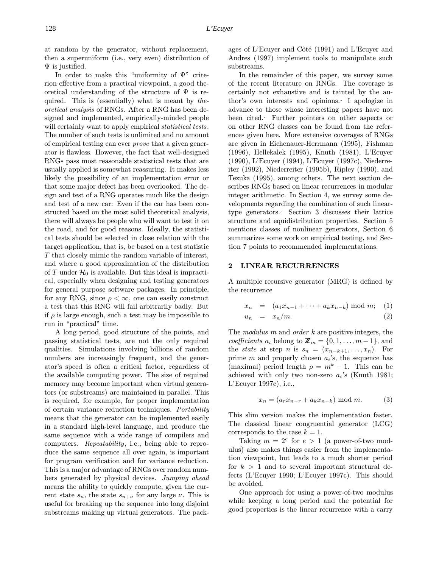at random by the generator, without replacement, then a superuniform (i.e., very even) distribution of  $\Psi$  is justified.

In order to make this "uniformity of Ψ" criterion effective from a practical viewpoint, a good theoretical understanding of the structure of  $\Psi$  is required. This is (essentially) what is meant by theoretical analysis of RNGs. After a RNG has been designed and implemented, empirically-minded people will certainly want to apply empirical *statistical tests*. The number of such tests is unlimited and no amount of empirical testing can ever prove that a given generator is flawless. However, the fact that well-designed RNGs pass most reasonable statistical tests that are usually applied is somewhat reassuring. It makes less likely the possibility of an implementation error or that some major defect has been overlooked. The design and test of a RNG operates much like the design and test of a new car: Even if the car has been constructed based on the most solid theoretical analysis, there will always be people who will want to test it on the road, and for good reasons. Ideally, the statistical tests should be selected in close relation with the target application, that is, be based on a test statistic T that closely mimic the random variable of interest, and where a good approximation of the distribution of T under  $\mathcal{H}_0$  is available. But this ideal is impractical, especially when designing and testing generators for general purpose software packages. In principle, for any RNG, since  $\rho < \infty$ , one can easily construct a test that this RNG will fail arbitrarily badly. But if  $\rho$  is large enough, such a test may be impossible to run in "practical" time.

A long period, good structure of the points, and passing statistical tests, are not the only required qualities. Simulations involving billions of random numbers are increasingly frequent, and the generator's speed is often a critical factor, regardless of the available computing power. The size of required memory may become important when virtual generators (or substreams) are maintained in parallel. This is required, for example, for proper implementation of certain variance reduction techniques. Portability means that the generator can be implemented easily in a standard high-level language, and produce the same sequence with a wide range of compilers and computers. Repeatability, i.e., being able to reproduce the same sequence all over again, is important for program verification and for variance reduction. This is a major advantage of RNGs over random numbers generated by physical devices. Jumping ahead means the ability to quickly compute, given the current state  $s_n$ , the state  $s_{n+\nu}$  for any large  $\nu$ . This is useful for breaking up the sequence into long disjoint substreams making up virtual generators. The packages of L'Ecuyer and Côté  $(1991)$  and L'Ecuyer and Andres (1997) implement tools to manipulate such substreams.

In the remainder of this paper, we survey some of the recent literature on RNGs. The coverage is certainly not exhaustive and is tainted by the author's own interests and opinions. I apologize in advance to those whose interesting papers have not been cited. Further pointers on other aspects or on other RNG classes can be found from the references given here. More extensive coverages of RNGs are given in Eichenauer-Herrmann (1995), Fishman (1996), Hellekalek (1995), Knuth (1981), L'Ecuyer (1990), L'Ecuyer (1994), L'Ecuyer (1997c), Niederreiter (1992), Niederreiter (1995b), Ripley (1990), and Tezuka (1995), among others. The next section describes RNGs based on linear recurrences in modular integer arithmetic. In Section 4, we survey some developments regarding the combination of such lineartype generators. Section 3 discusses their lattice structure and equidistribution properties. Section 5 mentions classes of nonlinear generators, Section 6 summarizes some work on empirical testing, and Section 7 points to recommended implementations.

## 2 LINEAR RECURRENCES

A multiple recursive generator (MRG) is defined by the recurrence

$$
x_n = (a_1 x_{n-1} + \dots + a_k x_{n-k}) \bmod m; \quad (1)
$$

$$
u_n = x_n/m. \t\t(2)
$$

The modulus  $m$  and order  $k$  are positive integers, the coefficients  $a_i$  belong to  $\mathbb{Z}_m = \{0, 1, \ldots, m-1\}$ , and the *state* at step *n* is  $s_n = (x_{n-k+1},...,x_n)$ . For prime m and properly chosen  $a_i$ 's, the sequence has (maximal) period length  $\rho = m^k - 1$ . This can be achieved with only two non-zero  $a_i$ 's (Knuth 1981; L'Ecuyer 1997c), i.e.,

$$
x_n = (a_r x_{n-r} + a_k x_{n-k}) \bmod m.
$$
 (3)

This slim version makes the implementation faster. The classical linear congruential generator (LCG) corresponds to the case  $k = 1$ .

Taking  $m = 2^e$  for  $e > 1$  (a power-of-two modulus) also makes things easier from the implementation viewpoint, but leads to a much shorter period for  $k > 1$  and to several important structural defects (L'Ecuyer 1990; L'Ecuyer 1997c). This should be avoided.

One approach for using a power-of-two modulus while keeping a long period and the potential for good properties is the linear recurrence with a carry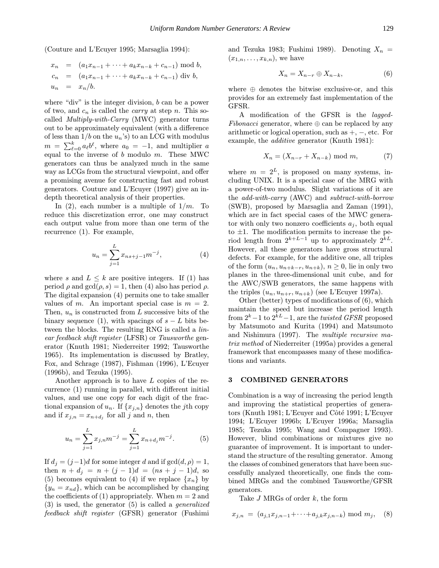(Couture and L'Ecuyer 1995; Marsaglia 1994):

$$
x_n = (a_1x_{n-1} + \dots + a_kx_{n-k} + c_{n-1}) \mod b,
$$
  
\n
$$
c_n = (a_1x_{n-1} + \dots + a_kx_{n-k} + c_{n-1}) \dim b,
$$
  
\n
$$
u_n = x_n/b.
$$

where "div" is the integer division, b can be a power of two, and  $c_n$  is called the *carry* at step n. This socalled *Multiply-with-Carry* (MWC) generator turns out to be approximately equivalent (with a difference of less than  $1/b$  on the  $u_n$ 's) to an LCG with modulus  $m = \sum_{\ell=0}^{k} a_{\ell} b^{\ell}$ , where  $a_0 = -1$ , and multiplier a equal to the inverse of  $b$  modulo  $m$ . These MWC generators can thus be analyzed much in the same way as LCGs from the structural viewpoint, and offer a promising avenue for constructing fast and robust generators. Couture and L'Ecuyer (1997) give an indepth theoretical analysis of their properties.

In (2), each number is a multiple of  $1/m$ . To reduce this discretization error, one may construct each output value from more than one term of the recurrence (1). For example,

$$
u_n = \sum_{j=1}^{L} x_{ns+j-1} m^{-j},
$$
\n(4)

where s and  $L \leq k$  are positive integers. If (1) has period  $\rho$  and  $gcd(\rho, s) = 1$ , then (4) also has period  $\rho$ . The digital expansion (4) permits one to take smaller values of m. An important special case is  $m = 2$ . Then,  $u_n$  is constructed from L successive bits of the binary sequence (1), with spacings of  $s - L$  bits between the blocks. The resulting RNG is called a linear feedback shift register (LFSR) or Tausworthe generator (Knuth 1981; Niederreiter 1992; Tausworthe 1965). Its implementation is discussed by Bratley, Fox, and Schrage (1987), Fishman (1996), L'Ecuyer (1996b), and Tezuka (1995).

Another approach is to have L copies of the recurrence (1) running in parallel, with different initial values, and use one copy for each digit of the fractional expansion of  $u_n$ . If  $\{x_{j,n}\}$  denotes the *j*th copy and if  $x_{j,n} = x_{n+d_j}$  for all j and n, then

$$
u_n = \sum_{j=1}^{L} x_{j,n} m^{-j} = \sum_{j=1}^{L} x_{n+d_j} m^{-j}.
$$
 (5)

If  $d_j = (j-1)d$  for some integer d and if  $gcd(d, \rho) = 1$ , then  $n + d_j = n + (j - 1)d = (ns + j - 1)d$ , so (5) becomes equivalent to (4) if we replace  $\{x_n\}$  by  ${y_n = x_{nd}}$ , which can be accomplished by changing the coefficients of (1) appropriately. When  $m = 2$  and (3) is used, the generator (5) is called a generalized feedback shift register (GFSR) generator (Fushimi

and Tezuka 1983; Fushimi 1989). Denoting  $X_n =$  $(x_{1,n},\ldots,x_{k,n}),$  we have

$$
X_n = X_{n-r} \oplus X_{n-k},\tag{6}
$$

where  $\oplus$  denotes the bitwise exclusive-or, and this provides for an extremely fast implementation of the GFSR.

A modification of the GFSR is the lagged-*Fibonacci* generator, where  $\oplus$  can be replaced by any arithmetic or logical operation, such as  $+$ ,  $-$ , etc. For example, the additive generator (Knuth 1981):

$$
X_n = (X_{n-r} + X_{n-k}) \bmod m,\tag{7}
$$

where  $m = 2^L$ , is proposed on many systems, including UNIX. It is a special case of the MRG with a power-of-two modulus. Slight variations of it are the add-with-carry (AWC) and subtract-with-borrow (SWB), proposed by Marsaglia and Zaman (1991), which are in fact special cases of the MWC generator with only two nonzero coefficients  $a_j$ , both equal to  $\pm 1$ . The modification permits to increase the period length from  $2^{k+L-1}$  up to approximately  $2^{k}$ . However, all these generators have gross structural defects. For example, for the additive one, all triples of the form  $(u_n, u_{n+k-r}, u_{n+k}), n \geq 0$ , lie in only two planes in the three-dimensional unit cube, and for the AWC/SWB generators, the same happens with the triples  $(u_n, u_{n+r}, u_{n+k})$  (see L'Ecuyer 1997a).

Other (better) types of modifications of (6), which maintain the speed but increase the period length from  $2^k-1$  to  $2^{k}$  – 1, are the *twisted GFSR* proposed by Matsumoto and Kurita (1994) and Matsumoto and Nishimura (1997). The multiple recursive matrix method of Niederreiter (1995a) provides a general framework that encompasses many of these modifications and variants.

## 3 COMBINED GENERATORS

Combination is a way of increasing the period length and improving the statistical properties of generators (Knuth 1981; L'Ecuyer and Côté 1991; L'Ecuyer 1994; L'Ecuyer 1996b; L'Ecuyer 1996a; Marsaglia 1985; Tezuka 1995; Wang and Compagner 1993). However, blind combinations or mixtures give no guarantee of improvement. It is important to understand the structure of the resulting generator. Among the classes of combined generators that have been successfully analyzed theoretically, one finds the combined MRGs and the combined Tausworthe/GFSR generators.

Take  $J$  MRGs of order  $k$ , the form

$$
x_{j,n} = (a_{j,1}x_{j,n-1} + \cdots + a_{j,k}x_{j,n-k}) \bmod m_j, \quad (8)
$$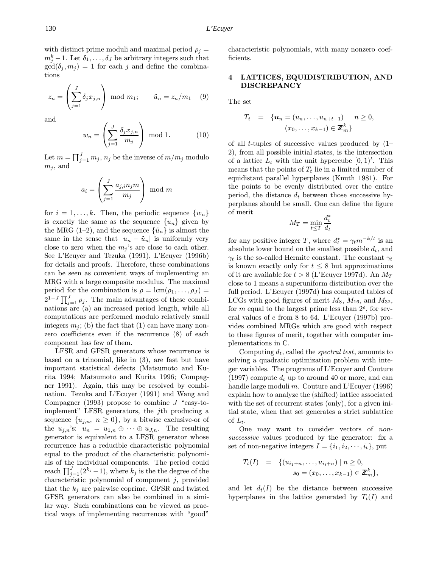with distinct prime moduli and maximal period  $\rho_j =$  $m_j^k-1$ . Let  $\delta_1,\ldots,\delta_J$  be arbitrary integers such that  $gcd(\delta_j, m_j) = 1$  for each j and define the combinations

$$
z_n = \left(\sum_{j=1}^J \delta_j x_{j,n}\right) \mod m_1; \qquad \tilde{u}_n = z_n/m_1 \quad (9)
$$

and

$$
w_n = \left(\sum_{j=1}^{J} \frac{\delta_j x_{j,n}}{m_j}\right) \mod 1. \tag{10}
$$

Let  $m = \prod_{j=1}^{J} m_j, n_j$  be the inverse of  $m/m_j$  modulo  $m_i$ , and

$$
a_i = \left(\sum_{j=1}^J \frac{a_{j,i} n_j m}{m_j}\right) \mod m
$$

for  $i = 1, \ldots, k$ . Then, the periodic sequence  $\{w_n\}$ is exactly the same as the sequence  $\{u_n\}$  given by the MRG (1–2), and the sequence  $\{\tilde{u}_n\}$  is almost the same in the sense that  $|u_n - \tilde{u}_n|$  is uniformly very close to zero when the  $m_j$ 's are close to each other. See L'Ecuyer and Tezuka (1991), L'Ecuyer (1996b) for details and proofs. Therefore, these combinations can be seen as convenient ways of implementing an MRG with a large composite modulus. The maximal period for the combination is  $\rho = \text{lcm}(\rho_1, \ldots, \rho_J)$  $2^{1-J} \prod_{j=1}^{J} \rho_j$ . The main advantages of these combinations are (a) an increased period length, while all computations are performed modulo relatively small integers  $m_i$ ; (b) the fact that (1) can have many nonzero coefficients even if the recurrence (8) of each component has few of them.

LFSR and GFSR generators whose recurrence is based on a trinomial, like in (3), are fast but have important statistical defects (Matsumoto and Kurita 1994; Matsumoto and Kurita 1996; Compagner 1991). Again, this may be resolved by combination. Tezuka and L'Ecuyer (1991) and Wang and Compagner (1993) propose to combine  $J$  "easy-toimplement" LFSR generators, the jth producing a sequence  $\{u_{j,n}, n \geq 0\}$ , by a bitwise exclusive-or of the  $u_{j,n}$ 's:  $u_n = u_{1,n} \oplus \cdots \oplus u_{J,n}$ . The resulting generator is equivalent to a LFSR generator whose recurrence has a reducible characteristic polynomial equal to the product of the characteristic polynomials of the individual components. The period could reach  $\prod_{j=1}^{J}(2^{k_j}-1)$ , where  $k_j$  is the the degree of the characteristic polynomial of component  $j$ , provided that the  $k_i$  are pairwise coprime. GFSR and twisted GFSR generators can also be combined in a similar way. Such combinations can be viewed as practical ways of implementing recurrences with "good"

characteristic polynomials, with many nonzero coefficients.

# 4 LATTICES, EQUIDISTRIBUTION, AND DISCREPANCY

The set

$$
T_t = \{ \mathbf{u}_n = (u_n, \dots, u_{n+t-1}) \mid n \ge 0, (x_0, \dots, x_{k-1}) \in \mathbb{Z}_m^k \}
$$

of all *t*-tuples of successive values produced by  $(1-\alpha)^2$ 2), from all possible initial states, is the intersection of a lattice  $L_t$  with the unit hypercube  $[0,1)^t$ . This means that the points of  $T_t$  lie in a limited number of equidistant parallel hyperplanes (Knuth 1981). For the points to be evenly distributed over the entire period, the distance  $d_t$  between those successive hyperplanes should be small. One can define the figure of merit

$$
M_T = \min_{t \le T} \frac{d_t^*}{d_t}
$$

for any positive integer T, where  $d_t^* = \gamma_t m^{-k/t}$  is an absolute lower bound on the smallest possible  $d_t$ , and  $\gamma_t$  is the so-called Hermite constant. The constant  $\gamma_t$ is known exactly only for  $t \leq 8$  but approximations of it are available for  $t > 8$  (L'Ecuyer 1997d). An  $M_T$ close to 1 means a superuniform distribution over the full period. L'Ecuyer (1997d) has computed tables of LCGs with good figures of merit  $M_8$ ,  $M_{16}$ , and  $M_{32}$ , for m equal to the largest prime less than  $2^e$ , for several values of e from 8 to 64. L'Ecuyer (1997b) provides combined MRGs which are good with respect to these figures of merit, together with computer implementations in C.

Computing  $d_t$ , called the *spectral test*, amounts to solving a quadratic optimization problem with integer variables. The programs of L'Ecuyer and Couture (1997) compute  $d_t$  up to around 40 or more, and can handle large moduli  $m$ . Couture and L'Ecuver (1996) explain how to analyze the (shifted) lattice associated with the set of recurrent states (only), for a given initial state, when that set generates a strict sublattice of  $L_t$ .

One may want to consider vectors of nonsuccessive values produced by the generator: fix a set of non-negative integers  $I = \{i_1, i_2, \dots, i_t\}$ , put

$$
T_t(I) = \{ (u_{i_1+n}, \ldots, u_{i_t+n}) \mid n \ge 0, \ns_0 = (x_0, \ldots, x_{k-1}) \in \mathbb{Z}_m^k \},
$$

and let  $d_t(I)$  be the distance between successive hyperplanes in the lattice generated by  $T_t(I)$  and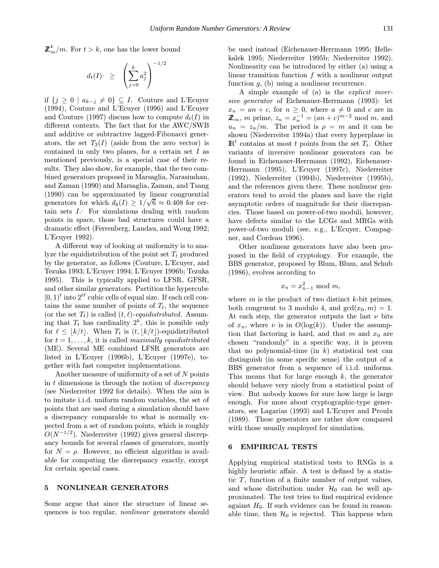$$
d_t(I)^{\scriptscriptstyle{-}} \; \geq \; \; \left( \sum_{j=0}^k a_j^2 \right)^{-1/2}
$$

if  $\{j \geq 0 \mid a_{k-j} \neq 0\}$  ⊆ I. Couture and L'Ecuyer (1994), Couture and L'Ecuyer (1996) and L'Ecuyer and Couture (1997) discuss how to compute  $d_t(I)$  in different contexts. The fact that for the AWC/SWB and additive or subtractive lagged-Fibonacci generators, the set  $T_3(I)$  (aside from the zero vector) is contained in only two planes, for a certain set I as mentioned previously, is a special case of their results. They also show, for example, that the two combined generators proposed in Marsaglia, Narasimhan, and Zaman (1990) and Marsaglia, Zaman, and Tsang (1990) can be approximated by linear congruential generators for which  $d_6(I) \geq 1/\sqrt{6} \approx 0.408$  for certain sets I. For simulations dealing with random points in space, those bad structures could have a dramatic effect (Ferrenberg, Landau, and Wong 1992; L'Ecuyer 1992).

A different way of looking at uniformity is to analyze the equidistribution of the point set  $T_t$  produced by the generator, as follows (Couture, L'Ecuyer, and Tezuka 1993; L'Ecuyer 1994; L'Ecuyer 1996b; Tezuka 1995). This is typically applied to LFSR, GFSR, and other similar generators. Partition the hypercube  $[0, 1)^t$  into  $2^{t\ell}$  cubic cells of equal size. If each cell contains the same number of points of  $T_t$ , the sequence (or the set  $T_t$ ) is called  $(t, \ell)$ -equidistributed. Assuming that  $T_t$  has cardinality  $2^k$ , this is possible only for  $\ell \leq |k/t|$ . When  $T_t$  is  $(t, |k/t|)$ -equidistributed for  $t = 1, \ldots, k$ , it is called maximally equidistributed (ME). Several ME combined LFSR generators are listed in L'Ecuyer (1996b), L'Ecuyer (1997e), together with fast computer implementations.

Another measure of uniformity of a set of N points in  $t$  dimensions is through the notion of *discrepancy* (see Niederreiter 1992 for details). When the aim is to imitate i.i.d. uniform random variables, the set of points that are used during a simulation should have a discrepancy comparable to what is normally expected from a set of random points, which is roughly  $O(N^{-1/2})$ . Niederreiter (1992) gives general discrepancy bounds for several classes of generators, mostly for  $N = \rho$ . However, no efficient algorithm is available for computing the discrepancy exactly, except for certain special cases.

#### 5 NONLINEAR GENERATORS

Some argue that since the structure of linear sequences is too regular, nonlinear generators should be used instead (Eichenauer-Herrmann 1995; Hellekalek 1995; Niederreiter 1995b; Niederreiter 1992). Nonlinearity can be introduced by either (a) using a linear transition function  $f$  with a nonlinear output function  $q$ , (b) using a nonlinear recurrence.

A simple example of (a) is the explicit inversive generator of Eichenauer-Herrmann (1993): let  $x_n = an + c$ , for  $n \geq 0$ , where  $a \neq 0$  and c are in  $\mathbb{Z}_m$ , *m* prime,  $z_n = x_n^{-1} = (an + c)^{m-2} \mod m$ , and  $u_n = z_n/m$ . The period is  $\rho = m$  and it can be shown (Niederreiter 1994a) that every hyperplane in  $\mathbb{R}^t$  contains at most t points from the set  $T_t$ . Other variants of inversive nonlinear generators can be found in Eichenauer-Herrmann (1992), Eichenauer-Herrmann (1995), L'Ecuyer (1997c), Niederreiter (1992), Niederreiter (1994b), Niederreiter (1995b), and the references given there. These nonlinear generators tend to avoid the planes and have the right asymptotic orders of magnitude for their discrepancies. Those based on power-of-two moduli, however, have defects similar to the LCGs and MRGs with power-of-two moduli (see, e.g., L'Ecuyer, Compagner, and Cordeau 1996).

Other nonlinear generators have also been proposed in the field of cryptology. For example, the BBS generator, proposed by Blum, Blum, and Schub (1986), evolves according to

$$
x_n = x_{n-1}^2 \mod m,
$$

where  $m$  is the product of two distinct  $k$ -bit primes, both congruent to 3 modulo 4, and  $gcd(x_0, m) = 1$ . At each step, the generator outputs the last  $\nu$  bits of  $x_n$ , where  $\nu$  is in  $O(\log(k))$ . Under the assumption that factoring is hard, and that m and  $x_0$  are chosen "randomly" in a specific way, it is proven that no polynomial-time (in  $k$ ) statistical test can distinguish (in some specific sense) the output of a BBS generator from a sequence of i.i.d. uniforms. This means that for large enough  $k$ , the generator should behave very nicely from a statistical point of view. But nobody knows for sure how large is large enough. For more about cryptographic-type generators, see Lagarias (1993) and L'Ecuyer and Proulx (1989). These generators are rather slow compared with those usually employed for simulation.

## 6 EMPIRICAL TESTS

Applying empirical statistical tests to RNGs is a highly heuristic affair. A test is defined by a statistic  $T$ , function of a finite number of output values, and whose distribution under  $\mathcal{H}_0$  can be well approximated. The test tries to find empirical evidence against  $H_0$ . If such evidence can be found in reasonable time, then  $\mathcal{H}_0$  is rejected. This happens when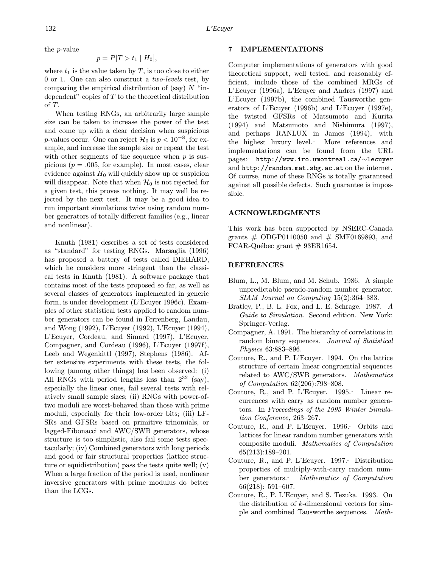the p-value

$$
p = P[T > t_1 | H_0],
$$

where  $t_1$  is the value taken by T, is too close to either 0 or 1. One can also construct a two-levels test, by comparing the empirical distribution of (say)  $N$  "independent" copies of  $T$  to the theoretical distribution of T.

When testing RNGs, an arbitrarily large sample size can be taken to increase the power of the test and come up with a clear decision when suspicious p-values occur. One can reject  $\mathcal{H}_0$  is  $p < 10^{-8}$ , for example, and increase the sample size or repeat the test with other segments of the sequence when  $p$  is suspicious ( $p = .005$ , for example). In most cases, clear evidence against  $H_0$  will quickly show up or suspicion will disappear. Note that when  $\mathcal{H}_0$  is not rejected for a given test, this proves nothing. It may well be rejected by the next test. It may be a good idea to run important simulations twice using random number generators of totally different families (e.g., linear and nonlinear).

Knuth (1981) describes a set of tests considered as "standard" for testing RNGs. Marsaglia (1996) has proposed a battery of tests called DIEHARD, which he considers more stringent than the classical tests in Knuth (1981). A software package that contains most of the tests proposed so far, as well as several classes of generators implemented in generic form, is under development (L'Ecuyer 1996c). Examples of other statistical tests applied to random number generators can be found in Ferrenberg, Landau, and Wong (1992), L'Ecuyer (1992), L'Ecuyer (1994), L'Ecuyer, Cordeau, and Simard (1997), L'Ecuyer, Compagner, and Cordeau (1996), L'Ecuyer (1997f), Leeb and Wegenkittl (1997), Stephens (1986). After extensive experiments with these tests, the following (among other things) has been observed: (i) All RNGs with period lengths less than  $2^{32}$  (say), especially the linear ones, fail several tests with relatively small sample sizes; (ii) RNGs with power-oftwo moduli are worst-behaved than those with prime moduli, especially for their low-order bits; (iii) LF-SRs and GFSRs based on primitive trinomials, or lagged-Fibonacci and AWC/SWB generators, whose structure is too simplistic, also fail some tests spectacularly; (iv) Combined generators with long periods and good or fair structural properties (lattice structure or equidistribution) pass the tests quite well; (v) When a large fraction of the period is used, nonlinear inversive generators with prime modulus do better than the LCGs.

#### 7 IMPLEMENTATIONS

Computer implementations of generators with good theoretical support, well tested, and reasonably efficient, include those of the combined MRGs of L'Ecuyer (1996a), L'Ecuyer and Andres (1997) and L'Ecuyer (1997b), the combined Tausworthe generators of L'Ecuyer (1996b) and L'Ecuyer (1997e), the twisted GFSRs of Matsumoto and Kurita (1994) and Matsumoto and Nishimura (1997), and perhaps RANLUX in James (1994), with the highest luxury level. More references and implementations can be found from the URL pages: http://www.iro.umontreal.ca/∼lecuyer and http://random.mat.sbg.ac.at on the internet. Of course, none of these RNGs is totally guaranteed against all possible defects. Such guarantee is impossible.

#### ACKNOWLEDGMENTS

This work has been supported by NSERC-Canada grants  $\#$  ODGP0110050 and  $\#$  SMF0169893, and FCAR-Québec grant  $\#$  93ER1654.

#### REFERENCES

- Blum, L., M. Blum, and M. Schub. 1986. A simple unpredictable pseudo-random number generator. SIAM Journal on Computing 15(2):364–383.
- Bratley, P., B. L. Fox, and L. E. Schrage. 1987. A Guide to Simulation. Second edition. New York: Springer-Verlag.
- Compagner, A. 1991. The hierarchy of correlations in random binary sequences. Journal of Statistical Physics 63:883–896.
- Couture, R., and P. L'Ecuyer. 1994. On the lattice structure of certain linear congruential sequences related to AWC/SWB generators. Mathematics of Computation 62(206):798–808.
- Couture, R., and P. L'Ecuyer. 1995. Linear recurrences with carry as random number generators. In Proceedings of the 1995 Winter Simulation Conference, 263–267.
- Couture, R., and P. L'Ecuyer. 1996. Orbits and lattices for linear random number generators with composite moduli. Mathematics of Computation 65(213):189–201.
- Couture, R., and P. L'Ecuyer. 1997. Distribution properties of multiply-with-carry random number generators. Mathematics of Computation 66(218): 591–607.
- Couture, R., P. L'Ecuyer, and S. Tezuka. 1993. On the distribution of  $k$ -dimensional vectors for simple and combined Tausworthe sequences. Math-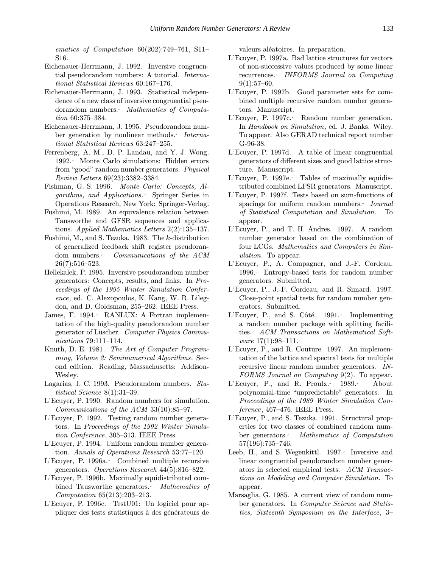ematics of Computation 60(202):749–761, S11– S16.

- Eichenauer-Herrmann, J. 1992. Inversive congruential pseudorandom numbers: A tutorial. International Statistical Reviews 60:167–176.
- Eichenauer-Herrmann, J. 1993. Statistical independence of a new class of inversive congruential pseudorandom numbers. Mathematics of Computation 60:375–384.
- Eichenauer-Herrmann, J. 1995. Pseudorandom number generation by nonlinear methods. International Statistical Reviews 63:247–255.
- Ferrenberg, A. M., D. P. Landau, and Y. J. Wong. 1992. Monte Carlo simulations: Hidden errors from "good" random number generators. Physical Review Letters 69(23):3382–3384.
- Fishman, G. S. 1996. Monte Carlo: Concepts, Algorithms, and Applications. Springer Series in Operations Research, New York: Springer-Verlag.
- Fushimi, M. 1989. An equivalence relation between Tausworthe and GFSR sequences and applications. Applied Mathematics Letters 2(2):135–137.
- Fushimi, M., and S. Tezuka. 1983. The k-distribution of generalized feedback shift register pseudorandom numbers. Communications of the ACM 26(7):516–523.
- Hellekalek, P. 1995. Inversive pseudorandom number generators: Concepts, results, and links. In Proceedings of the 1995 Winter Simulation Conference, ed. C. Alexopoulos, K. Kang, W. R. Lilegdon, and D. Goldsman, 255–262. IEEE Press.
- James, F. 1994. RANLUX: A Fortran implementation of the high-quality pseudorandom number generator of Lüscher. Computer Physics Communications 79:111–114.
- Knuth, D. E. 1981. The Art of Computer Programming, Volume 2: Seminumerical Algorithms. Second edition. Reading, Massachusetts: Addison-Wesley.
- Lagarias, J. C. 1993. Pseudorandom numbers. Statistical Science 8(1):31–39.
- L'Ecuyer, P. 1990. Random numbers for simulation. Communications of the ACM 33(10):85–97.
- L'Ecuyer, P. 1992. Testing random number generators. In Proceedings of the 1992 Winter Simulation Conference, 305–313. IEEE Press.
- L'Ecuyer, P. 1994. Uniform random number generation. Annals of Operations Research 53:77–120.
- L'Ecuyer, P. 1996a. Combined multiple recursive generators. Operations Research 44(5):816–822.
- L'Ecuyer, P. 1996b. Maximally equidistributed combined Tausworthe generators. Mathematics of Computation 65(213):203–213.
- L'Ecuyer, P. 1996c. TestU01: Un logiciel pour appliquer des tests statistiques à des générateurs de

valeurs aléatoires. In preparation.

- L'Ecuyer, P. 1997a. Bad lattice structures for vectors of non-successive values produced by some linear recurrences. INFORMS Journal on Computing  $9(1):57-60.$
- L'Ecuyer, P. 1997b. Good parameter sets for combined multiple recursive random number generators. Manuscript.
- L'Ecuyer, P. 1997c. Random number generation. In Handbook on Simulation, ed. J. Banks. Wiley. To appear. Also GERAD technical report number G-96-38.
- L'Ecuyer, P. 1997d. A table of linear congruential generators of different sizes and good lattice structure. Manuscript.
- L'Ecuyer, P. 1997e. Tables of maximally equidistributed combined LFSR generators. Manuscript.
- L'Ecuyer, P. 1997f. Tests based on sum-functions of spacings for uniform random numbers. Journal of Statistical Computation and Simulation. To appear.
- L'Ecuyer, P., and T. H. Andres. 1997. A random number generator based on the combination of four LCGs. Mathematics and Computers in Simulation. To appear.
- L'Ecuyer, P., A. Compagner, and J.-F. Cordeau. 1996. Entropy-based tests for random number generators. Submitted.
- L'Ecuyer, P., J.-F. Cordeau, and R. Simard. 1997. Close-point spatial tests for random number generators. Submitted.
- L'Ecuyer, P., and S. Côté. 1991. Implementing a random number package with splitting facilities. ACM Transactions on Mathematical Software 17(1):98–111.
- L'Ecuyer, P., and R. Couture. 1997. An implementation of the lattice and spectral tests for multiple recursive linear random number generators. IN-FORMS Journal on Computing 9(2). To appear.
- L'Ecuyer, P., and R. Proulx. 1989. About polynomial-time "unpredictable" generators. In Proceedings of the 1989 Winter Simulation Conference, 467–476. IEEE Press.
- L'Ecuyer, P., and S. Tezuka. 1991. Structural properties for two classes of combined random number generators. Mathematics of Computation 57(196):735–746.
- Leeb, H., and S. Wegenkittl. 1997. Inversive and linear congruential pseudorandom number generators in selected empirical tests. ACM Transactions on Modeling and Computer Simulation. To appear.
- Marsaglia, G. 1985. A current view of random number generators. In Computer Science and Statistics, Sixteenth Symposium on the Interface, 3–